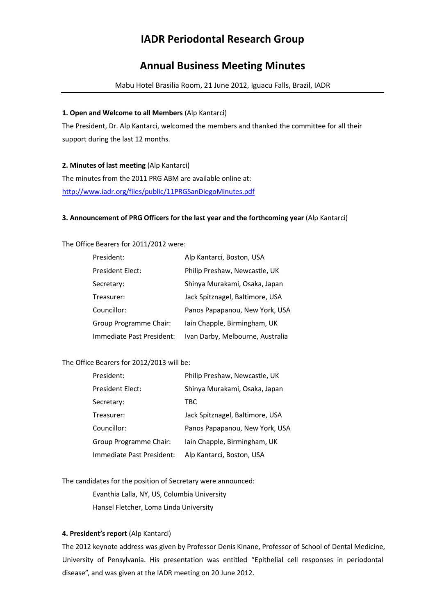# **IADR Periodontal Research Group**

# **Annual Business Meeting Minutes**

Mabu Hotel Brasilia Room, 21 June 2012, Iguacu Falls, Brazil, IADR

## **1. Open and Welcome to all Members** (Alp Kantarci)

The President, Dr. Alp Kantarci, welcomed the members and thanked the committee for all their support during the last 12 months.

### **2. Minutes of last meeting** (Alp Kantarci)

The minutes from the 2011 PRG ABM are available online at: [http://www.iadr.org/files/public/1](http://www.iadr.org/i4a/pages/Index.cfm?pageID=3661)1PRGSanDiegoMinutes.pdf

#### **3. Announcement of PRG Officers for the last year and the forthcoming year** (Alp Kantarci)

The Office Bearers for 2011/2012 were:

| President:                | Alp Kantarci, Boston, USA        |
|---------------------------|----------------------------------|
| <b>President Elect:</b>   | Philip Preshaw, Newcastle, UK    |
| Secretary:                | Shinya Murakami, Osaka, Japan    |
| Treasurer:                | Jack Spitznagel, Baltimore, USA  |
| Councillor:               | Panos Papapanou, New York, USA   |
| Group Programme Chair:    | lain Chapple, Birmingham, UK     |
| Immediate Past President: | Ivan Darby, Melbourne, Australia |

#### The Office Bearers for 2012/2013 will be:

| President:                    | Philip Preshaw, Newcastle, UK   |
|-------------------------------|---------------------------------|
| <b>President Elect:</b>       | Shinya Murakami, Osaka, Japan   |
| Secretary:                    | TBC                             |
| Treasurer:                    | Jack Spitznagel, Baltimore, USA |
| Councillor:                   | Panos Papapanou, New York, USA  |
| <b>Group Programme Chair:</b> | lain Chapple, Birmingham, UK    |
| Immediate Past President:     | Alp Kantarci, Boston, USA       |

The candidates for the position of Secretary were announced:

Evanthia Lalla, NY, US, Columbia University Hansel Fletcher, Loma Linda University

#### **4. President's report** (Alp Kantarci)

The 2012 keynote address was given by Professor Denis Kinane, Professor of School of Dental Medicine, University of Pensylvania. His presentation was entitled "Epithelial cell responses in periodontal disease", and was given at the IADR meeting on 20 June 2012.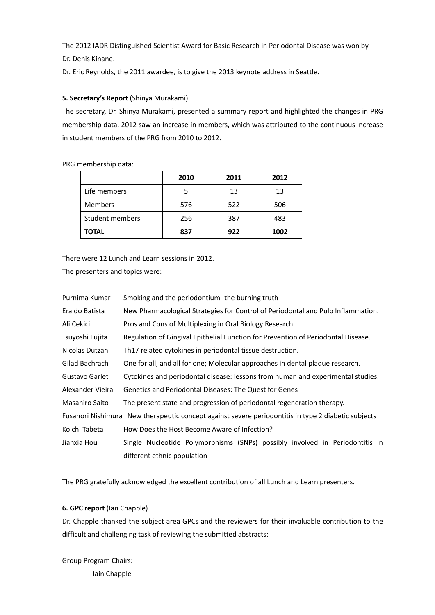The 2012 IADR Distinguished Scientist Award for Basic Research in Periodontal Disease was won by Dr. Denis Kinane.

Dr. Eric Reynolds, the 2011 awardee, is to give the 2013 keynote address in Seattle.

# **5. Secretary's Report** (Shinya Murakami)

The secretary, Dr. Shinya Murakami, presented a summary report and highlighted the changes in PRG membership data. 2012 saw an increase in members, which was attributed to the continuous increase in student members of the PRG from 2010 to 2012.

PRG membership data:

|                 | 2010 | 2011 | 2012 |
|-----------------|------|------|------|
| Life members    |      | 13   | 13   |
| <b>Members</b>  | 576  | 522  | 506  |
| Student members | 256  | 387  | 483  |
| <b>TOTAL</b>    | 837  | 922  | 1002 |

There were 12 Lunch and Learn sessions in 2012.

The presenters and topics were:

| Purnima Kumar      | Smoking and the periodontium- the burning truth                                   |  |  |
|--------------------|-----------------------------------------------------------------------------------|--|--|
| Eraldo Batista     | New Pharmacological Strategies for Control of Periodontal and Pulp Inflammation.  |  |  |
| Ali Cekici         | Pros and Cons of Multiplexing in Oral Biology Research                            |  |  |
| Tsuyoshi Fujita    | Regulation of Gingival Epithelial Function for Prevention of Periodontal Disease. |  |  |
| Nicolas Dutzan     | Th17 related cytokines in periodontal tissue destruction.                         |  |  |
| Gilad Bachrach     | One for all, and all for one; Molecular approaches in dental plaque research.     |  |  |
| Gustavo Garlet     | Cytokines and periodontal disease: lessons from human and experimental studies.   |  |  |
| Alexander Vieira   | Genetics and Periodontal Diseases: The Quest for Genes                            |  |  |
| Masahiro Saito     | The present state and progression of periodontal regeneration therapy.            |  |  |
| Fusanori Nishimura | New therapeutic concept against severe periodontitis in type 2 diabetic subjects  |  |  |
| Koichi Tabeta      | How Does the Host Become Aware of Infection?                                      |  |  |
| Jianxia Hou        | Single Nucleotide Polymorphisms (SNPs) possibly involved in Periodontitis in      |  |  |
|                    | different ethnic population                                                       |  |  |

The PRG gratefully acknowledged the excellent contribution of all Lunch and Learn presenters.

# **6. GPC report** (Ian Chapple)

Dr. Chapple thanked the subject area GPCs and the reviewers for their invaluable contribution to the difficult and challenging task of reviewing the submitted abstracts:

Group Program Chairs: Iain Chapple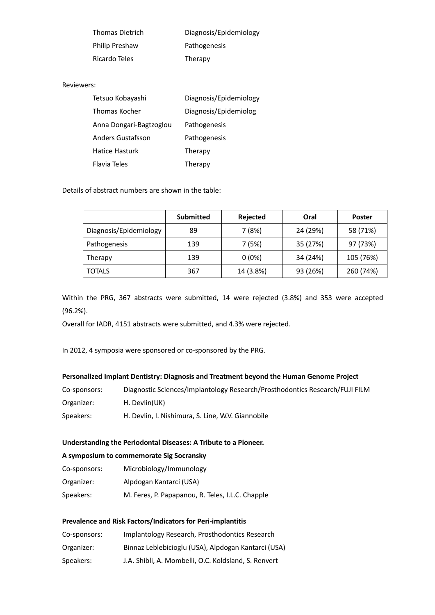| <b>Thomas Dietrich</b> | Diagnosis/Epidemiology |
|------------------------|------------------------|
| <b>Philip Preshaw</b>  | Pathogenesis           |
| Ricardo Teles          | Therapy                |

## Reviewers:

| Tetsuo Kobayashi        | Diagnosis/Epidemiology |
|-------------------------|------------------------|
| Thomas Kocher           | Diagnosis/Epidemiolog  |
| Anna Dongari-Bagtzoglou | Pathogenesis           |
| Anders Gustafsson       | Pathogenesis           |
| Hatice Hasturk          | Therapy                |
| Flavia Teles            | Therapy                |

Details of abstract numbers are shown in the table:

|                        | <b>Submitted</b> | Rejected  | Oral     | <b>Poster</b> |
|------------------------|------------------|-----------|----------|---------------|
| Diagnosis/Epidemiology | 89               | 7 (8%)    | 24 (29%) | 58 (71%)      |
| Pathogenesis           | 139              | 7 (5%)    | 35 (27%) | 97 (73%)      |
| Therapy                | 139              | $0(0\%)$  | 34 (24%) | 105 (76%)     |
| <b>TOTALS</b>          | 367              | 14 (3.8%) | 93 (26%) | 260 (74%)     |

Within the PRG, 367 abstracts were submitted, 14 were rejected (3.8%) and 353 were accepted (96.2%).

Overall for IADR, 4151 abstracts were submitted, and 4.3% were rejected.

In 2012, 4 symposia were sponsored or co-sponsored by the PRG.

## **Personalized Implant Dentistry: Diagnosis and Treatment beyond the Human Genome Project**

| Co-sponsors: | Diagnostic Sciences/Implantology Research/Prosthodontics Research/FUJI FILM |
|--------------|-----------------------------------------------------------------------------|
| Organizer:   | H. Devlin(UK)                                                               |
| Speakers:    | H. Devlin, I. Nishimura, S. Line, W.V. Giannobile                           |

# **Understanding the Periodontal Diseases: A Tribute to a Pioneer.**

## **A symposium to commemorate Sig Socransky**

| Co-sponsors: | Microbiology/Immunology                          |
|--------------|--------------------------------------------------|
| Organizer:   | Alpdogan Kantarci (USA)                          |
| Speakers:    | M. Feres, P. Papapanou, R. Teles, I.L.C. Chapple |

### **Prevalence and Risk Factors/Indicators for Peri-implantitis**

| Co-sponsors: | Implantology Research, Prosthodontics Research       |
|--------------|------------------------------------------------------|
| Organizer:   | Binnaz Leblebicioglu (USA), Alpdogan Kantarci (USA)  |
| Speakers:    | J.A. Shibli, A. Mombelli, O.C. Koldsland, S. Renvert |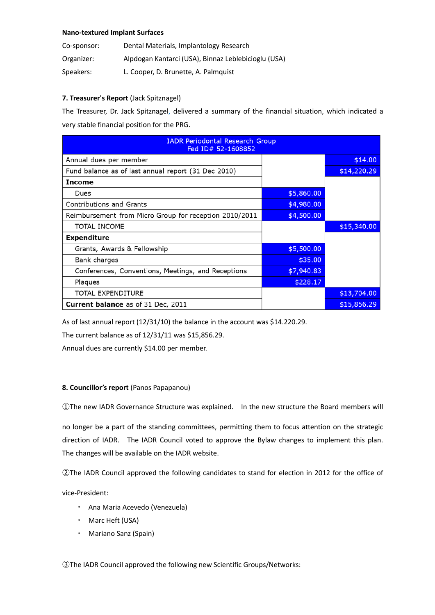## **Nano-textured Implant Surfaces**

| Co-sponsor: | Dental Materials, Implantology Research             |
|-------------|-----------------------------------------------------|
| Organizer:  | Alpdogan Kantarci (USA), Binnaz Leblebicioglu (USA) |
| Speakers:   | L. Cooper, D. Brunette, A. Palmquist                |

# **7. Treasurer's Report** (Jack Spitznagel)

The Treasurer, Dr. Jack Spitznagel, delivered a summary of the financial situation, which indicated a very stable financial position for the PRG.

| <b>IADR Periodontal Research Group</b><br>Fed ID# 52-1608852 |            |             |  |
|--------------------------------------------------------------|------------|-------------|--|
| Annual dues per member                                       |            | \$14.00     |  |
| Fund balance as of last annual report (31 Dec 2010)          |            | \$14,220.29 |  |
| Income                                                       |            |             |  |
| Dues                                                         | \$5,860.00 |             |  |
| <b>Contributions and Grants</b>                              | \$4,980.00 |             |  |
| Reimbursement from Micro Group for reception 2010/2011       | \$4,500.00 |             |  |
| TOTAL INCOME                                                 |            | \$15,340.00 |  |
| <b>Expenditure</b>                                           |            |             |  |
| Grants, Awards & Fellowship                                  | \$5,500.00 |             |  |
| Bank charges                                                 | \$35.00    |             |  |
| Conferences, Conventions, Meetings, and Receptions           | \$7,940.83 |             |  |
| Plagues                                                      | \$228.17   |             |  |
| <b>TOTAL EXPENDITURE</b>                                     |            | \$13,704.00 |  |
| <b>Current balance as of 31 Dec, 2011</b>                    |            | \$15,856.29 |  |

As of last annual report (12/31/10) the balance in the account was \$14.220.29.

The current balance as of 12/31/11 was \$15,856.29.

Annual dues are currently \$14.00 per member.

# **8. Councillor's report** (Panos Papapanou)

①The new IADR Governance Structure was explained. In the new structure the Board members will

no longer be a part of the standing committees, permitting them to focus attention on the strategic direction of IADR. The IADR Council voted to approve the Bylaw changes to implement this plan. The changes will be available on the IADR website.

②The IADR Council approved the following candidates to stand for election in 2012 for the office of

vice-President:

- ・ Ana Maria Acevedo (Venezuela)
- ・ Marc Heft (USA)
- ・ Mariano Sanz (Spain)

③The IADR Council approved the following new Scientific Groups/Networks: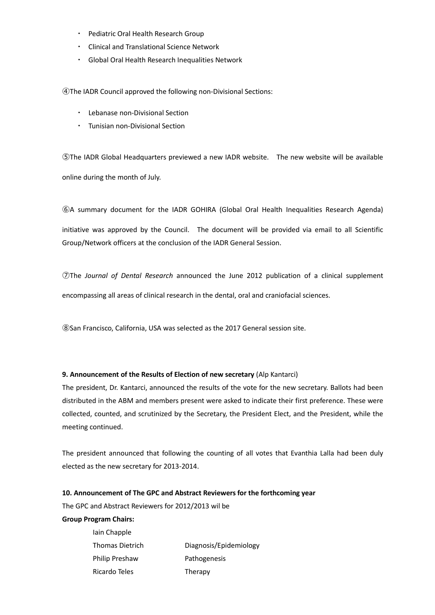- ・ Pediatric Oral Health Research Group
- ・ Clinical and Translational Science Network
- ・ Global Oral Health Research Inequalities Network

④The IADR Council approved the following non-Divisional Sections:

- ・ Lebanase non-Divisional Section
- ・ Tunisian non-Divisional Section

⑤The IADR Global Headquarters previewed a new IADR website. The new website will be available online during the month of July.

⑥A summary document for the IADR GOHIRA (Global Oral Health Inequalities Research Agenda) initiative was approved by the Council. The document will be provided via email to all Scientific Group/Network officers at the conclusion of the IADR General Session.

⑦The *Journal of Dental Research* announced the June 2012 publication of a clinical supplement encompassing all areas of clinical research in the dental, oral and craniofacial sciences.

⑧San Francisco, California, USA was selected as the 2017 General session site.

#### **9. Announcement of the Results of Election of new secretary** (Alp Kantarci)

The president, Dr. Kantarci, announced the results of the vote for the new secretary. Ballots had been distributed in the ABM and members present were asked to indicate their first preference. These were collected, counted, and scrutinized by the Secretary, the President Elect, and the President, while the meeting continued.

The president announced that following the counting of all votes that Evanthia Lalla had been duly elected as the new secretary for 2013-2014.

### **10. Announcement of The GPC and Abstract Reviewers for the forthcoming year**

The GPC and Abstract Reviewers for 2012/2013 wil be

# **Group Program Chairs:**

| lain Chapple    |                        |
|-----------------|------------------------|
| Thomas Dietrich | Diagnosis/Epidemiology |
| Philip Preshaw  | Pathogenesis           |
| Ricardo Teles   | Therapy                |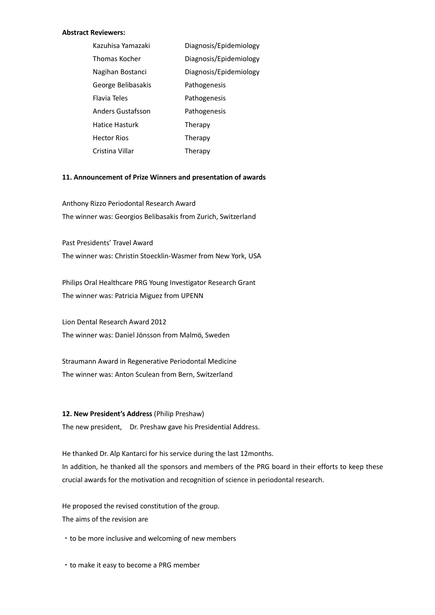#### **Abstract Reviewers:**

| Diagnosis/Epidemiology |
|------------------------|
| Diagnosis/Epidemiology |
| Diagnosis/Epidemiology |
| Pathogenesis           |
| Pathogenesis           |
| Pathogenesis           |
| Therapy                |
| Therapy                |
| Therapy                |
|                        |

## **11. Announcement of Prize Winners and presentation of awards**

Anthony Rizzo Periodontal Research Award The winner was: Georgios Belibasakis from Zurich, Switzerland

Past Presidents' Travel Award The winner was: Christin Stoecklin-Wasmer from New York, USA

Philips Oral Healthcare PRG Young Investigator Research Grant The winner was: Patricia Miguez from UPENN

Lion Dental Research Award 2012 The winner was: Daniel Jönsson from Malmö, Sweden

Straumann Award in Regenerative Periodontal Medicine The winner was: Anton Sculean from Bern, Switzerland

#### **12. New President's Address** (Philip Preshaw)

The new president, Dr. Preshaw gave his Presidential Address.

He thanked Dr. Alp Kantarci for his service during the last 12months. In addition, he thanked all the sponsors and members of the PRG board in their efforts to keep these crucial awards for the motivation and recognition of science in periodontal research.

He proposed the revised constitution of the group. The aims of the revision are

・to be more inclusive and welcoming of new members

・to make it easy to become a PRG member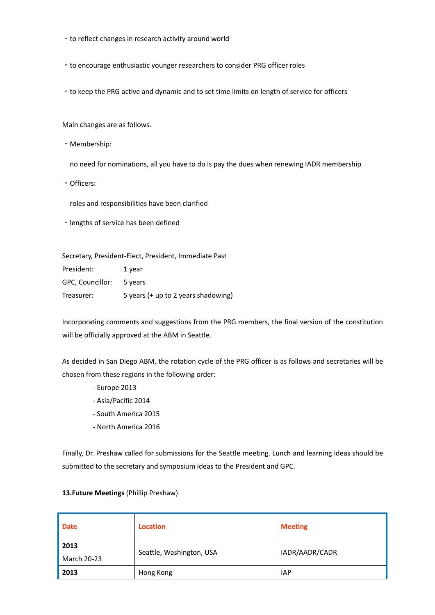- ・to reflect changes in research activity around world
- ・to encourage enthusiastic younger researchers to consider PRG officer roles
- ・to keep the PRG active and dynamic and to set time limits on length of service for officers

Main changes are as follows.

・Membership:

no need for nominations, all you have to do is pay the dues when renewing IADR membership

- ・Officers:
	- roles and responsibilities have been clarified
- ・lengths of service has been defined

Secretary, President-Elect, President, Immediate Past

| President:       | 1 year                              |
|------------------|-------------------------------------|
| GPC, Councillor: | 5 years                             |
| Treasurer:       | 5 years (+ up to 2 years shadowing) |

Incorporating comments and suggestions from the PRG members, the final version of the constitution will be officially approved at the ABM in Seattle.

As decided in San Diego ABM, the rotation cycle of the PRG officer is as follows and secretaries will be chosen from these regions in the following order:

- Europe 2013
- Asia/Pacific 2014
- South America 2015
- North America 2016

Finally, Dr. Preshaw called for submissions for the Seattle meeting. Lunch and learning ideas should be submitted to the secretary and symposium ideas to the President and GPC.

| Date               | <b>Location</b>          | <b>Meeting</b> |
|--------------------|--------------------------|----------------|
| 2013               | Seattle, Washington, USA | IADR/AADR/CADR |
| <b>March 20-23</b> |                          |                |
| 2013               | Hong Kong                | <b>IAP</b>     |

# **13.Future Meetings** (Phillip Preshaw)